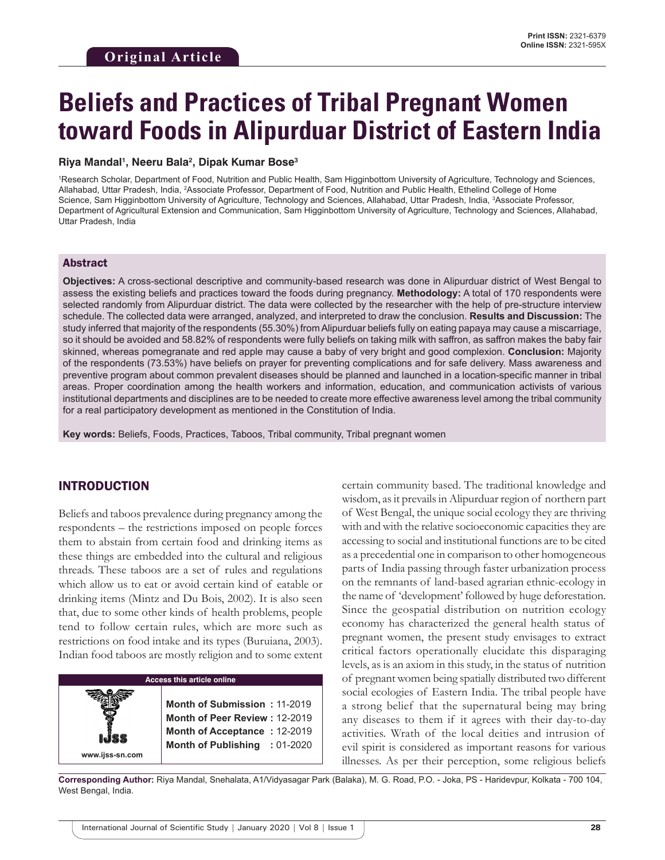# **Beliefs and Practices of Tribal Pregnant Women toward Foods in Alipurduar District of Eastern India**

#### **Riya Mandal1 , Neeru Bala2 , Dipak Kumar Bose3**

1 Research Scholar, Department of Food, Nutrition and Public Health, Sam Higginbottom University of Agriculture, Technology and Sciences, Allahabad, Uttar Pradesh, India, <sup>2</sup>Associate Professor, Department of Food, Nutrition and Public Health, Ethelind College of Home Science, Sam Higginbottom University of Agriculture, Technology and Sciences, Allahabad, Uttar Pradesh, India, 3 Associate Professor, Department of Agricultural Extension and Communication, Sam Higginbottom University of Agriculture, Technology and Sciences, Allahabad, Uttar Pradesh, India

#### Abstract

**Objectives:** A cross-sectional descriptive and community-based research was done in Alipurduar district of West Bengal to assess the existing beliefs and practices toward the foods during pregnancy. **Methodology:** A total of 170 respondents were selected randomly from Alipurduar district. The data were collected by the researcher with the help of pre-structure interview schedule. The collected data were arranged, analyzed, and interpreted to draw the conclusion. **Results and Discussion:** The study inferred that majority of the respondents (55.30%) from Alipurduar beliefs fully on eating papaya may cause a miscarriage, so it should be avoided and 58.82% of respondents were fully beliefs on taking milk with saffron, as saffron makes the baby fair skinned, whereas pomegranate and red apple may cause a baby of very bright and good complexion. **Conclusion:** Majority of the respondents (73.53%) have beliefs on prayer for preventing complications and for safe delivery. Mass awareness and preventive program about common prevalent diseases should be planned and launched in a location-specific manner in tribal areas. Proper coordination among the health workers and information, education, and communication activists of various institutional departments and disciplines are to be needed to create more effective awareness level among the tribal community for a real participatory development as mentioned in the Constitution of India.

**Key words:** Beliefs, Foods, Practices, Taboos, Tribal community, Tribal pregnant women

#### INTRODUCTION

Beliefs and taboos prevalence during pregnancy among the respondents – the restrictions imposed on people forces them to abstain from certain food and drinking items as these things are embedded into the cultural and religious threads. These taboos are a set of rules and regulations which allow us to eat or avoid certain kind of eatable or drinking items (Mintz and Du Bois, 2002). It is also seen that, due to some other kinds of health problems, people tend to follow certain rules, which are more such as restrictions on food intake and its types (Buruiana, 2003). Indian food taboos are mostly religion and to some extent

| <b>Access this article online</b> |                                                                                                                             |            |  |  |
|-----------------------------------|-----------------------------------------------------------------------------------------------------------------------------|------------|--|--|
| IJSS<br>www.ijss-sn.com           | Month of Submission: 11-2019<br>Month of Peer Review: 12-2019<br>Month of Acceptance: 12-2019<br><b>Month of Publishing</b> | $:01-2020$ |  |  |

certain community based. The traditional knowledge and wisdom, as it prevails in Alipurduar region of northern part of West Bengal, the unique social ecology they are thriving with and with the relative socioeconomic capacities they are accessing to social and institutional functions are to be cited as a precedential one in comparison to other homogeneous parts of India passing through faster urbanization process on the remnants of land-based agrarian ethnic-ecology in the name of 'development' followed by huge deforestation. Since the geospatial distribution on nutrition ecology economy has characterized the general health status of pregnant women, the present study envisages to extract critical factors operationally elucidate this disparaging levels, as is an axiom in this study, in the status of nutrition of pregnant women being spatially distributed two different social ecologies of Eastern India. The tribal people have a strong belief that the supernatural being may bring any diseases to them if it agrees with their day-to-day activities. Wrath of the local deities and intrusion of evil spirit is considered as important reasons for various illnesses. As per their perception, some religious beliefs

**Corresponding Author:** Riya Mandal, Snehalata, A1/Vidyasagar Park (Balaka), M. G. Road, P.O. - Joka, PS - Haridevpur, Kolkata - 700 104, West Bengal, India.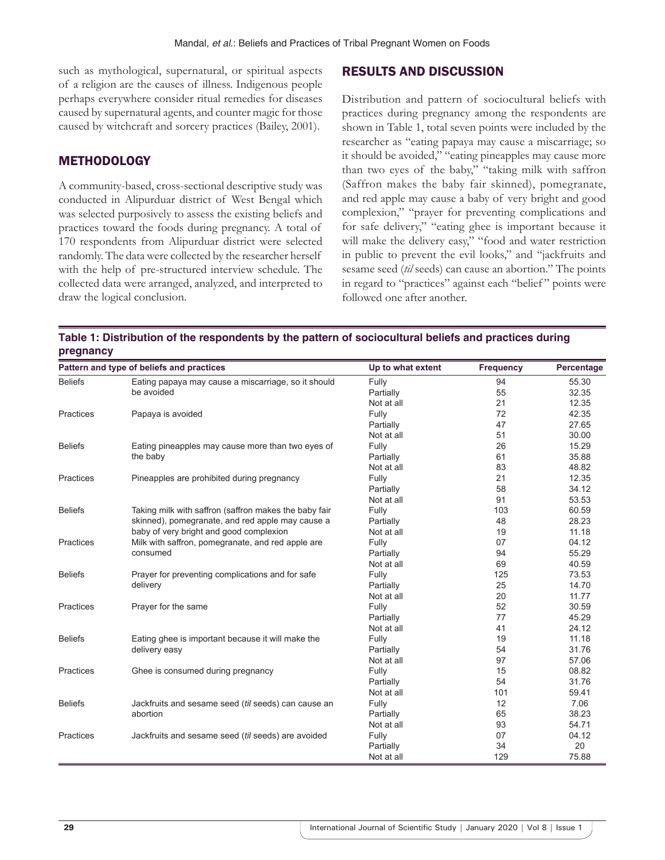such as mythological, supernatural, or spiritual aspects of a religion are the causes of illness. Indigenous people perhaps everywhere consider ritual remedies for diseases caused by supernatural agents, and counter magic for those caused by witchcraft and sorcery practices (Bailey, 2001).

#### METHODOLOGY

A community-based, cross-sectional descriptive study was conducted in Alipurduar district of West Bengal which was selected purposively to assess the existing beliefs and practices toward the foods during pregnancy. A total of 170 respondents from Alipurduar district were selected randomly. The data were collected by the researcher herself with the help of pre-structured interview schedule. The collected data were arranged, analyzed, and interpreted to draw the logical conclusion.

Distribution and pattern of sociocultural beliefs with practices during pregnancy among the respondents are shown in Table 1, total seven points were included by the researcher as "eating papaya may cause a miscarriage; so it should be avoided," "eating pineapples may cause more than two eyes of the baby," "taking milk with saffron (Saffron makes the baby fair skinned), pomegranate, and red apple may cause a baby of very bright and good complexion," "prayer for preventing complications and for safe delivery," "eating ghee is important because it will make the delivery easy," "food and water restriction in public to prevent the evil looks," and "jackfruits and sesame seed (*til* seeds) can cause an abortion." The points in regard to "practices" against each "belief" points were followed one after another.

RESULTS AND DISCUSSION

| Table 1: Distribution of the respondents by the pattern of sociocultural beliefs and practices during |  |  |
|-------------------------------------------------------------------------------------------------------|--|--|
| pregnancy                                                                                             |  |  |

|                  | Pattern and type of beliefs and practices             | Up to what extent | <b>Frequency</b> | Percentage |
|------------------|-------------------------------------------------------|-------------------|------------------|------------|
| <b>Beliefs</b>   | Eating papaya may cause a miscarriage, so it should   | Fully             | 94               | 55.30      |
|                  | be avoided                                            | Partially         | 55               | 32.35      |
|                  |                                                       | Not at all        | 21               | 12.35      |
| Practices        | Papaya is avoided                                     | Fully             | 72               | 42.35      |
|                  |                                                       | Partially         | 47               | 27.65      |
|                  |                                                       | Not at all        | 51               | 30.00      |
| <b>Beliefs</b>   | Eating pineapples may cause more than two eyes of     | Fully             | 26               | 15.29      |
|                  | the baby                                              | Partially         | 61               | 35.88      |
|                  |                                                       | Not at all        | 83               | 48.82      |
| Practices        | Pineapples are prohibited during pregnancy            | Fully             | 21               | 12.35      |
|                  |                                                       | Partially         | 58               | 34.12      |
|                  |                                                       | Not at all        | 91               | 53.53      |
| <b>Beliefs</b>   | Taking milk with saffron (saffron makes the baby fair | Fully             | 103              | 60.59      |
|                  | skinned), pomegranate, and red apple may cause a      | Partially         | 48               | 28.23      |
|                  | baby of very bright and good complexion               | Not at all        | 19               | 11.18      |
| Practices        | Milk with saffron, pomegranate, and red apple are     | Fully             | 07               | 04.12      |
|                  | consumed                                              | Partially         | 94               | 55.29      |
|                  |                                                       | Not at all        | 69               | 40.59      |
| <b>Beliefs</b>   | Prayer for preventing complications and for safe      | Fully             | 125              | 73.53      |
|                  | delivery                                              | Partially         | 25               | 14.70      |
|                  |                                                       | Not at all        | 20               | 11.77      |
| Practices        | Prayer for the same                                   | Fully             | 52               | 30.59      |
|                  |                                                       | Partially         | 77               | 45.29      |
|                  |                                                       | Not at all        | 41               | 24.12      |
| <b>Beliefs</b>   | Eating ghee is important because it will make the     | Fully             | 19               | 11.18      |
|                  | delivery easy                                         | Partially         | 54               | 31.76      |
|                  |                                                       | Not at all        | 97               | 57.06      |
| <b>Practices</b> | Ghee is consumed during pregnancy                     | Fully             | 15               | 08.82      |
|                  |                                                       | Partially         | 54               | 31.76      |
|                  |                                                       | Not at all        | 101              | 59.41      |
| <b>Beliefs</b>   | Jackfruits and sesame seed (til seeds) can cause an   | Fully             | 12               | 7.06       |
|                  | abortion                                              | Partially         | 65               | 38.23      |
|                  |                                                       | Not at all        | 93               | 54.71      |
| Practices        | Jackfruits and sesame seed (til seeds) are avoided    | Fully             | 07               | 04.12      |
|                  |                                                       | Partially         | 34               | 20         |
|                  |                                                       | Not at all        | 129              | 75.88      |